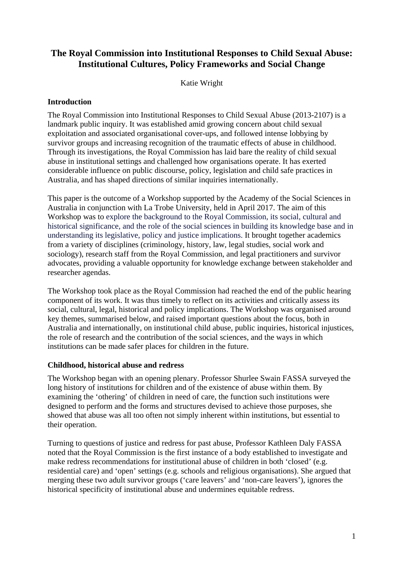# **The Royal Commission into Institutional Responses to Child Sexual Abuse: Institutional Cultures, Policy Frameworks and Social Change**

Katie Wright

#### **Introduction**

The Royal Commission into Institutional Responses to Child Sexual Abuse (2013-2107) is a landmark public inquiry. It was established amid growing concern about child sexual exploitation and associated organisational cover-ups, and followed intense lobbying by survivor groups and increasing recognition of the traumatic effects of abuse in childhood. Through its investigations, the Royal Commission has laid bare the reality of child sexual abuse in institutional settings and challenged how organisations operate. It has exerted considerable influence on public discourse, policy, legislation and child safe practices in Australia, and has shaped directions of similar inquiries internationally.

This paper is the outcome of a Workshop supported by the Academy of the Social Sciences in Australia in conjunction with La Trobe University, held in April 2017. The aim of this Workshop was to explore the background to the Royal Commission, its social, cultural and historical significance, and the role of the social sciences in building its knowledge base and in understanding its legislative, policy and justice implications. It brought together academics from a variety of disciplines (criminology, history, law, legal studies, social work and sociology), research staff from the Royal Commission, and legal practitioners and survivor advocates, providing a valuable opportunity for knowledge exchange between stakeholder and researcher agendas.

The Workshop took place as the Royal Commission had reached the end of the public hearing component of its work. It was thus timely to reflect on its activities and critically assess its social, cultural, legal, historical and policy implications. The Workshop was organised around key themes, summarised below, and raised important questions about the focus, both in Australia and internationally, on institutional child abuse, public inquiries, historical injustices, the role of research and the contribution of the social sciences, and the ways in which institutions can be made safer places for children in the future.

### **Childhood, historical abuse and redress**

The Workshop began with an opening plenary. Professor Shurlee Swain FASSA surveyed the long history of institutions for children and of the existence of abuse within them. By examining the 'othering' of children in need of care, the function such institutions were designed to perform and the forms and structures devised to achieve those purposes, she showed that abuse was all too often not simply inherent within institutions, but essential to their operation.

Turning to questions of justice and redress for past abuse, Professor Kathleen Daly FASSA noted that the Royal Commission is the first instance of a body established to investigate and make redress recommendations for institutional abuse of children in both 'closed' (e.g. residential care) and 'open' settings (e.g. schools and religious organisations). She argued that merging these two adult survivor groups ('care leavers' and 'non-care leavers'), ignores the historical specificity of institutional abuse and undermines equitable redress.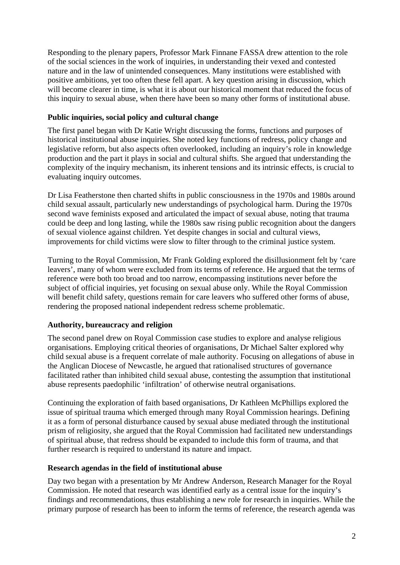Responding to the plenary papers, Professor Mark Finnane FASSA drew attention to the role of the social sciences in the work of inquiries, in understanding their vexed and contested nature and in the law of unintended consequences. Many institutions were established with positive ambitions, yet too often these fell apart. A key question arising in discussion, which will become clearer in time, is what it is about our historical moment that reduced the focus of this inquiry to sexual abuse, when there have been so many other forms of institutional abuse.

### **Public inquiries, social policy and cultural change**

The first panel began with Dr Katie Wright discussing the forms, functions and purposes of historical institutional abuse inquiries. She noted key functions of redress, policy change and legislative reform, but also aspects often overlooked, including an inquiry's role in knowledge production and the part it plays in social and cultural shifts. She argued that understanding the complexity of the inquiry mechanism, its inherent tensions and its intrinsic effects, is crucial to evaluating inquiry outcomes.

Dr Lisa Featherstone then charted shifts in public consciousness in the 1970s and 1980s around child sexual assault, particularly new understandings of psychological harm. During the 1970s second wave feminists exposed and articulated the impact of sexual abuse, noting that trauma could be deep and long lasting, while the 1980s saw rising public recognition about the dangers of sexual violence against children. Yet despite changes in social and cultural views, improvements for child victims were slow to filter through to the criminal justice system.

Turning to the Royal Commission, Mr Frank Golding explored the disillusionment felt by 'care leavers', many of whom were excluded from its terms of reference. He argued that the terms of reference were both too broad and too narrow, encompassing institutions never before the subject of official inquiries, yet focusing on sexual abuse only. While the Royal Commission will benefit child safety, questions remain for care leavers who suffered other forms of abuse, rendering the proposed national independent redress scheme problematic.

### **Authority, bureaucracy and religion**

The second panel drew on Royal Commission case studies to explore and analyse religious organisations. Employing critical theories of organisations, Dr Michael Salter explored why child sexual abuse is a frequent correlate of male authority. Focusing on allegations of abuse in the Anglican Diocese of Newcastle, he argued that rationalised structures of governance facilitated rather than inhibited child sexual abuse, contesting the assumption that institutional abuse represents paedophilic 'infiltration' of otherwise neutral organisations.

Continuing the exploration of faith based organisations, Dr Kathleen McPhillips explored the issue of spiritual trauma which emerged through many Royal Commission hearings. Defining it as a form of personal disturbance caused by sexual abuse mediated through the institutional prism of religiosity, she argued that the Royal Commission had facilitated new understandings of spiritual abuse, that redress should be expanded to include this form of trauma, and that further research is required to understand its nature and impact.

### **Research agendas in the field of institutional abuse**

Day two began with a presentation by Mr Andrew Anderson, Research Manager for the Royal Commission. He noted that research was identified early as a central issue for the inquiry's findings and recommendations, thus establishing a new role for research in inquiries. While the primary purpose of research has been to inform the terms of reference, the research agenda was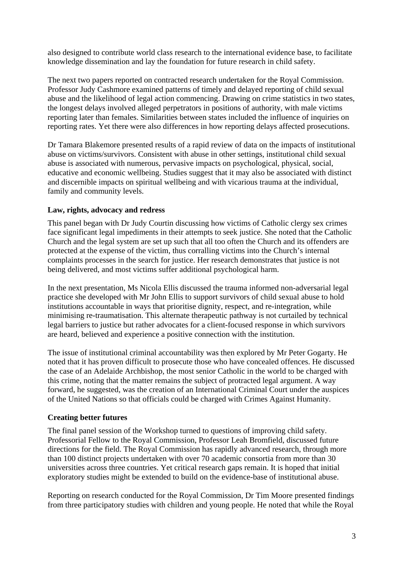also designed to contribute world class research to the international evidence base, to facilitate knowledge dissemination and lay the foundation for future research in child safety.

The next two papers reported on contracted research undertaken for the Royal Commission. Professor Judy Cashmore examined patterns of timely and delayed reporting of child sexual abuse and the likelihood of legal action commencing. Drawing on crime statistics in two states, the longest delays involved alleged perpetrators in positions of authority, with male victims reporting later than females. Similarities between states included the influence of inquiries on reporting rates. Yet there were also differences in how reporting delays affected prosecutions.

Dr Tamara Blakemore presented results of a rapid review of data on the impacts of institutional abuse on victims/survivors. Consistent with abuse in other settings, institutional child sexual abuse is associated with numerous, pervasive impacts on psychological, physical, social, educative and economic wellbeing. Studies suggest that it may also be associated with distinct and discernible impacts on spiritual wellbeing and with vicarious trauma at the individual, family and community levels.

### **Law, rights, advocacy and redress**

This panel began with Dr Judy Courtin discussing how victims of Catholic clergy sex crimes face significant legal impediments in their attempts to seek justice. She noted that the Catholic Church and the legal system are set up such that all too often the Church and its offenders are protected at the expense of the victim, thus corralling victims into the Church's internal complaints processes in the search for justice. Her research demonstrates that justice is not being delivered, and most victims suffer additional psychological harm.

In the next presentation, Ms Nicola Ellis discussed the trauma informed non-adversarial legal practice she developed with Mr John Ellis to support survivors of child sexual abuse to hold institutions accountable in ways that prioritise dignity, respect, and re-integration, while minimising re-traumatisation. This alternate therapeutic pathway is not curtailed by technical legal barriers to justice but rather advocates for a client-focused response in which survivors are heard, believed and experience a positive connection with the institution.

The issue of institutional criminal accountability was then explored by Mr Peter Gogarty. He noted that it has proven difficult to prosecute those who have concealed offences. He discussed the case of an Adelaide Archbishop, the most senior Catholic in the world to be charged with this crime, noting that the matter remains the subject of protracted legal argument. A way forward, he suggested, was the creation of an International Criminal Court under the auspices of the United Nations so that officials could be charged with Crimes Against Humanity.

### **Creating better futures**

The final panel session of the Workshop turned to questions of improving child safety. Professorial Fellow to the Royal Commission, Professor Leah Bromfield, discussed future directions for the field. The Royal Commission has rapidly advanced research, through more than 100 distinct projects undertaken with over 70 academic consortia from more than 30 universities across three countries. Yet critical research gaps remain. It is hoped that initial exploratory studies might be extended to build on the evidence-base of institutional abuse.

Reporting on research conducted for the Royal Commission, Dr Tim Moore presented findings from three participatory studies with children and young people. He noted that while the Royal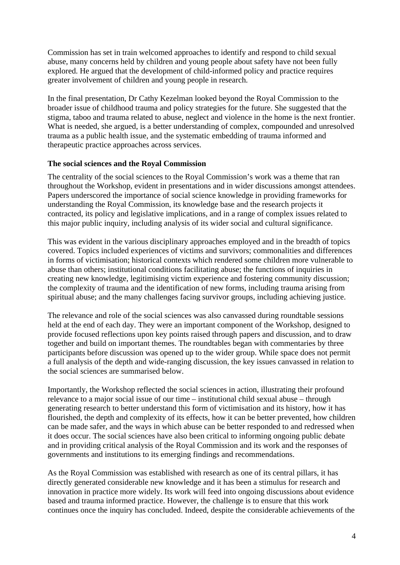Commission has set in train welcomed approaches to identify and respond to child sexual abuse, many concerns held by children and young people about safety have not been fully explored. He argued that the development of child-informed policy and practice requires greater involvement of children and young people in research.

In the final presentation, Dr Cathy Kezelman looked beyond the Royal Commission to the broader issue of childhood trauma and policy strategies for the future. She suggested that the stigma, taboo and trauma related to abuse, neglect and violence in the home is the next frontier. What is needed, she argued, is a better understanding of complex, compounded and unresolved trauma as a public health issue, and the systematic embedding of trauma informed and therapeutic practice approaches across services.

#### **The social sciences and the Royal Commission**

The centrality of the social sciences to the Royal Commission's work was a theme that ran throughout the Workshop, evident in presentations and in wider discussions amongst attendees. Papers underscored the importance of social science knowledge in providing frameworks for understanding the Royal Commission, its knowledge base and the research projects it contracted, its policy and legislative implications, and in a range of complex issues related to this major public inquiry, including analysis of its wider social and cultural significance.

This was evident in the various disciplinary approaches employed and in the breadth of topics covered. Topics included experiences of victims and survivors; commonalities and differences in forms of victimisation; historical contexts which rendered some children more vulnerable to abuse than others; institutional conditions facilitating abuse; the functions of inquiries in creating new knowledge, legitimising victim experience and fostering community discussion; the complexity of trauma and the identification of new forms, including trauma arising from spiritual abuse; and the many challenges facing survivor groups, including achieving justice.

The relevance and role of the social sciences was also canvassed during roundtable sessions held at the end of each day. They were an important component of the Workshop, designed to provide focused reflections upon key points raised through papers and discussion, and to draw together and build on important themes. The roundtables began with commentaries by three participants before discussion was opened up to the wider group. While space does not permit a full analysis of the depth and wide-ranging discussion, the key issues canvassed in relation to the social sciences are summarised below.

Importantly, the Workshop reflected the social sciences in action, illustrating their profound relevance to a major social issue of our time – institutional child sexual abuse – through generating research to better understand this form of victimisation and its history, how it has flourished, the depth and complexity of its effects, how it can be better prevented, how children can be made safer, and the ways in which abuse can be better responded to and redressed when it does occur. The social sciences have also been critical to informing ongoing public debate and in providing critical analysis of the Royal Commission and its work and the responses of governments and institutions to its emerging findings and recommendations.

As the Royal Commission was established with research as one of its central pillars, it has directly generated considerable new knowledge and it has been a stimulus for research and innovation in practice more widely. Its work will feed into ongoing discussions about evidence based and trauma informed practice. However, the challenge is to ensure that this work continues once the inquiry has concluded. Indeed, despite the considerable achievements of the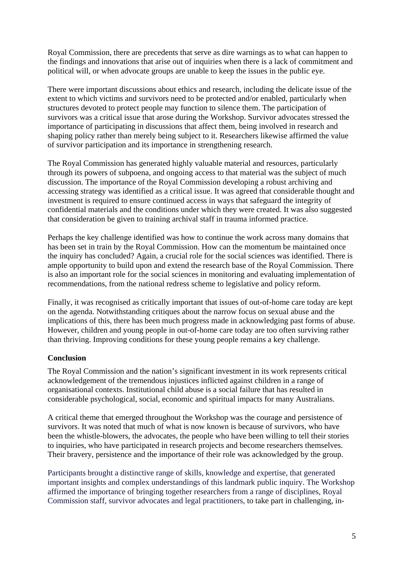Royal Commission, there are precedents that serve as dire warnings as to what can happen to the findings and innovations that arise out of inquiries when there is a lack of commitment and political will, or when advocate groups are unable to keep the issues in the public eye.

There were important discussions about ethics and research, including the delicate issue of the extent to which victims and survivors need to be protected and/or enabled, particularly when structures devoted to protect people may function to silence them. The participation of survivors was a critical issue that arose during the Workshop. Survivor advocates stressed the importance of participating in discussions that affect them, being involved in research and shaping policy rather than merely being subject to it. Researchers likewise affirmed the value of survivor participation and its importance in strengthening research.

The Royal Commission has generated highly valuable material and resources, particularly through its powers of subpoena, and ongoing access to that material was the subject of much discussion. The importance of the Royal Commission developing a robust archiving and accessing strategy was identified as a critical issue. It was agreed that considerable thought and investment is required to ensure continued access in ways that safeguard the integrity of confidential materials and the conditions under which they were created. It was also suggested that consideration be given to training archival staff in trauma informed practice.

Perhaps the key challenge identified was how to continue the work across many domains that has been set in train by the Royal Commission. How can the momentum be maintained once the inquiry has concluded? Again, a crucial role for the social sciences was identified. There is ample opportunity to build upon and extend the research base of the Royal Commission. There is also an important role for the social sciences in monitoring and evaluating implementation of recommendations, from the national redress scheme to legislative and policy reform.

Finally, it was recognised as critically important that issues of out-of-home care today are kept on the agenda. Notwithstanding critiques about the narrow focus on sexual abuse and the implications of this, there has been much progress made in acknowledging past forms of abuse. However, children and young people in out-of-home care today are too often surviving rather than thriving. Improving conditions for these young people remains a key challenge.

## **Conclusion**

The Royal Commission and the nation's significant investment in its work represents critical acknowledgement of the tremendous injustices inflicted against children in a range of organisational contexts. Institutional child abuse is a social failure that has resulted in considerable psychological, social, economic and spiritual impacts for many Australians.

A critical theme that emerged throughout the Workshop was the courage and persistence of survivors. It was noted that much of what is now known is because of survivors, who have been the whistle-blowers, the advocates, the people who have been willing to tell their stories to inquiries, who have participated in research projects and become researchers themselves. Their bravery, persistence and the importance of their role was acknowledged by the group.

Participants brought a distinctive range of skills, knowledge and expertise, that generated important insights and complex understandings of this landmark public inquiry. The Workshop affirmed the importance of bringing together researchers from a range of disciplines, Royal Commission staff, survivor advocates and legal practitioners, to take part in challenging, in